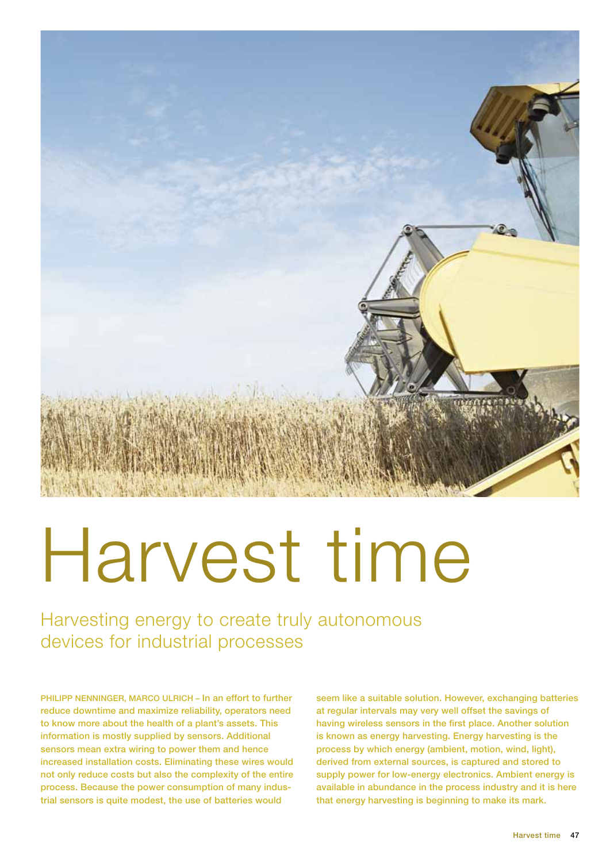

# Harvest time

Harvesting energy to create truly autonomous devices for industrial processes

PHILIPP NENNINGER, MARCO ULRICH - In an effort to further reduce downtime and maximize reliability, operators need to know more about the health of a plant's assets. This information is mostly supplied by sensors. Additional sensors mean extra wiring to power them and hence increased installation costs. Eliminating these wires would not only reduce costs but also the complexity of the entire process. Because the power consumption of many industrial sensors is quite modest, the use of batteries would

seem like a suitable solution. However, exchanging batteries at regular intervals may very well offset the savings of having wireless sensors in the first place. Another solution is known as energy harvesting. Energy harvesting is the process by which energy (ambient, motion, wind, light), derived from external sources, is captured and stored to supply power for low-energy electronics. Ambient energy is available in abundance in the process industry and it is here that energy harvesting is beginning to make its mark.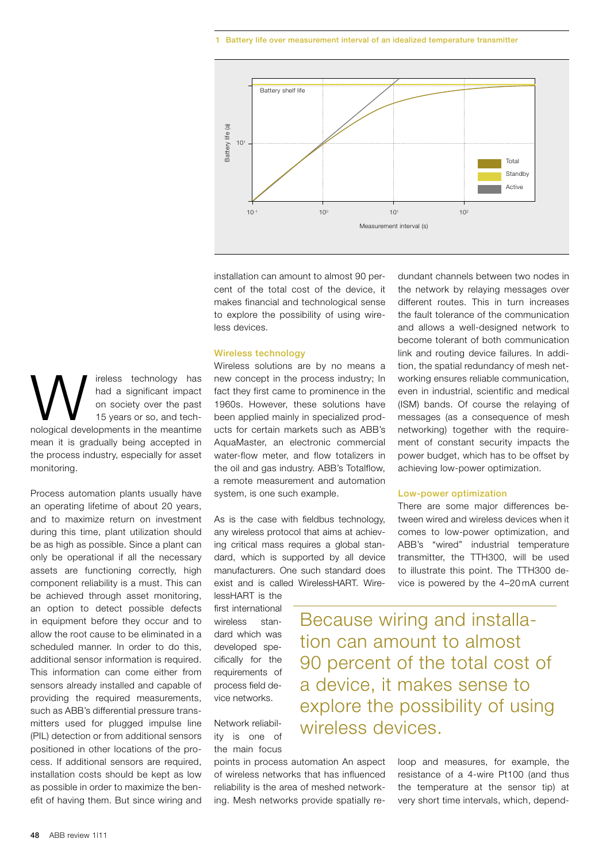#### 1 Battery life over measurement interval of an idealized temperature transmitter



installation can amount to almost 90 percent of the total cost of the device, it makes financial and technological sense to explore the possibility of using wireless devices.

## Wireless technology

Wireless solutions are by no means a new concept in the process industry; In fact they first came to prominence in the 1960s. However, these solutions have been applied mainly in specialized products for certain markets such as ABB's AquaMaster, an electronic commercial water-flow meter, and flow totalizers in the oil and gas industry. ABB's Totalflow, a remote measurement and automation system, is one such example.

As is the case with fieldbus technology, any wireless protocol that aims at achieving critical mass requires a global standard, which is supported by all device manufacturers. One such standard does exist and is called WirelessHART. Wire-

lessHART is the first international wireless standard which was developed specifically for the requirements of process field device networks.

Network reliability is one of the main focus

points in process automation An aspect of wireless networks that has influenced reliability is the area of meshed networking. Mesh networks provide spatially re-

dundant channels between two nodes in the network by relaying messages over different routes. This in turn increases the fault tolerance of the communication and allows a well-designed network to become tolerant of both communication link and routing device failures. In addition, the spatial redundancy of mesh networking ensures reliable communication, even in industrial, scientific and medical (ISM) bands. Of course the relaying of messages (as a consequence of mesh networking) together with the requirement of constant security impacts the power budget, which has to be offset by achieving low-power optimization.

## Low-power optimization

There are some major differences between wired and wireless devices when it comes to low-power optimization, and ABB's "wired" industrial temperature transmitter, the TTH300, will be used to illustrate this point. The TTH300 device is powered by the 4–20 mA current

Because wiring and installation can amount to almost 90 percent of the total cost of a device, it makes sense to explore the possibility of using wireless devices.

> loop and measures, for example, the resistance of a 4-wire Pt100 (and thus the temperature at the sensor tip) at very short time intervals, which, depend-

W ireless technology has<br>
had a significant impact<br>
on society over the past<br>
nological developments in the meantime had a significant impact on society over the past 15 years or so, and techmean it is gradually being accepted in the process industry, especially for asset monitoring.

Process automation plants usually have an operating lifetime of about 20 years, and to maximize return on investment during this time, plant utilization should be as high as possible. Since a plant can only be operational if all the necessary assets are functioning correctly, high component reliability is a must. This can be achieved through asset monitoring, an option to detect possible defects in equipment before they occur and to allow the root cause to be eliminated in a scheduled manner. In order to do this, additional sensor information is required. This information can come either from sensors already installed and capable of providing the required measurements, such as ABB's differential pressure transmitters used for plugged impulse line (PIL) detection or from additional sensors positioned in other locations of the process. If additional sensors are required, installation costs should be kept as low as possible in order to maximize the benefit of having them. But since wiring and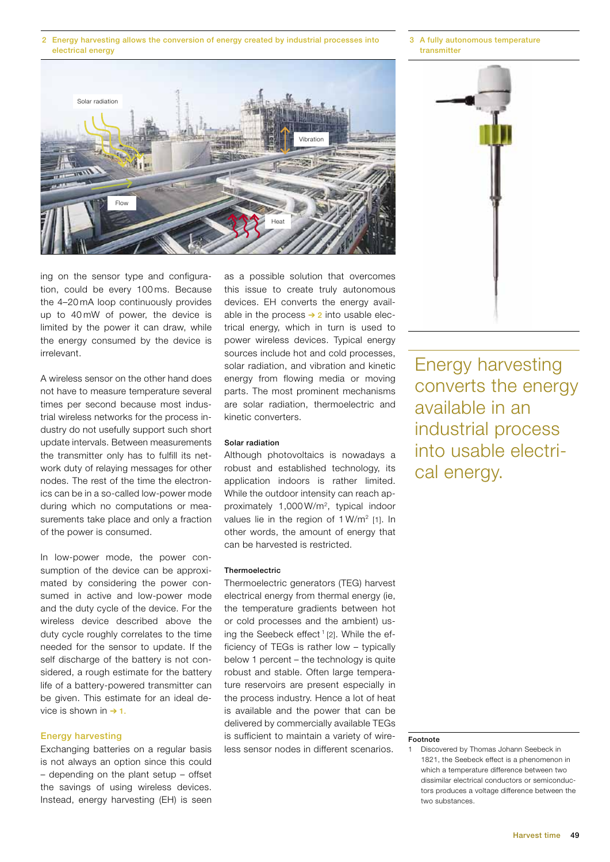2 Energy harvesting allows the conversion of energy created by industrial processes into electrical energy



3 A fully autonomous temperature transmitter



ing on the sensor type and configuration, could be every 100 ms. Because the 4–20 mA loop continuously provides up to 40 mW of power, the device is limited by the power it can draw, while the energy consumed by the device is irrelevant.

A wireless sensor on the other hand does not have to measure temperature several times per second because most industrial wireless networks for the process industry do not usefully support such short update intervals. Between measurements the transmitter only has to fulfill its network duty of relaying messages for other nodes. The rest of the time the electronics can be in a so-called low-power mode during which no computations or measurements take place and only a fraction of the power is consumed.

In low-power mode, the power consumption of the device can be approximated by considering the power consumed in active and low-power mode and the duty cycle of the device. For the wireless device described above the duty cycle roughly correlates to the time needed for the sensor to update. If the self discharge of the battery is not considered, a rough estimate for the battery life of a battery-powered transmitter can be given. This estimate for an ideal device is shown in  $\rightarrow$  1.

# Energy harvesting

Exchanging batteries on a regular basis is not always an option since this could – depending on the plant setup – offset the savings of using wireless devices. Instead, energy harvesting (EH) is seen as a possible solution that overcomes this issue to create truly autonomous devices. EH converts the energy available in the process  $\rightarrow$  2 into usable electrical energy, which in turn is used to power wireless devices. Typical energy sources include hot and cold processes, solar radiation, and vibration and kinetic energy from flowing media or moving parts. The most prominent mechanisms are solar radiation, thermoelectric and kinetic converters.

## Solar radiation

Although photovoltaics is nowadays a robust and established technology, its application indoors is rather limited. While the outdoor intensity can reach approximately 1,000 W/m2, typical indoor values lie in the region of  $1 W/m^2$  [1]. In other words, the amount of energy that can be harvested is restricted.

## **Thermoelectric**

Thermoelectric generators (TEG) harvest electrical energy from thermal energy (ie, the temperature gradients between hot or cold processes and the ambient) using the Seebeck effect<sup>1</sup> [2]. While the efficiency of TEGs is rather low – typically below 1 percent – the technology is quite robust and stable. Often large temperature reservoirs are present especially in the process industry. Hence a lot of heat is available and the power that can be delivered by commercially available TEGs is sufficient to maintain a variety of wireless sensor nodes in different scenarios.

Energy harvesting converts the energy available in an industrial process into usable electrical energy.

#### Footnote

<sup>1</sup> Discovered by Thomas Johann Seebeck in 1821, the Seebeck effect is a phenomenon in which a temperature difference between two dissimilar electrical conductors or semiconductors produces a voltage difference between the two substances.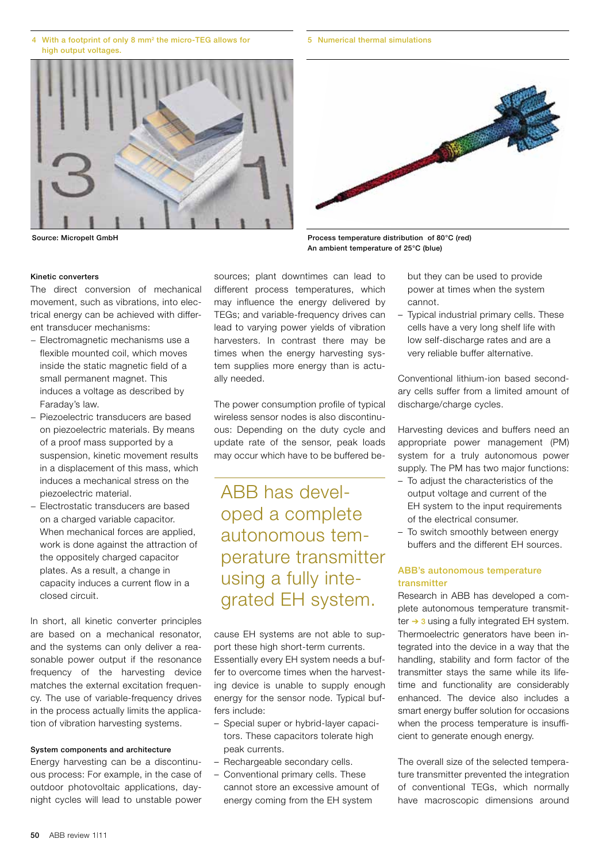- With a footprint of only 8 mm<sup>2</sup> the micro-TEG allows for high output voltages
- 

# Kinetic converters

The direct conversion of mechanical movement, such as vibrations, into electrical energy can be achieved with different transducer mechanisms:

- − Electromagnetic mechanisms use a flexible mounted coil, which moves inside the static magnetic field of a small permanent magnet. This induces a voltage as described by Faraday's law.
- − Piezoelectric transducers are based on piezoelectric materials. By means of a proof mass supported by a suspension, kinetic movement results in a displacement of this mass, which induces a mechanical stress on the piezoelectric material.
- − Electrostatic transducers are based on a charged variable capacitor. When mechanical forces are applied. work is done against the attraction of the oppositely charged capacitor plates. As a result, a change in capacity induces a current flow in a closed circuit.

In short, all kinetic converter principles are based on a mechanical resonator, and the systems can only deliver a reasonable power output if the resonance frequency of the harvesting device matches the external excitation frequency. The use of variable-frequency drives in the process actually limits the application of vibration harvesting systems.

## System components and architecture

Energy harvesting can be a discontinuous process: For example, in the case of outdoor photovoltaic applications, daynight cycles will lead to unstable power sources; plant downtimes can lead to different process temperatures, which may influence the energy delivered by TEGs; and variable-frequency drives can lead to varying power yields of vibration harvesters. In contrast there may be times when the energy harvesting system supplies more energy than is actually needed.

The power consumption profile of typical wireless sensor nodes is also discontinuous: Depending on the duty cycle and update rate of the sensor, peak loads may occur which have to be buffered be-

ABB has developed a complete autonomous temperature transmitter using a fully integrated EH system.

cause EH systems are not able to support these high short-term currents. Essentially every EH system needs a buffer to overcome times when the harvesting device is unable to supply enough energy for the sensor node. Typical buffers include:

- Special super or hybrid-layer capacitors. These capacitors tolerate high peak currents.
- Rechargeable secondary cells.
- Conventional primary cells. These cannot store an excessive amount of energy coming from the EH system

but they can be used to provide power at times when the system cannot.

– Typical industrial primary cells. These cells have a very long shelf life with low self-discharge rates and are a very reliable buffer alternative.

Conventional lithium-ion based secondary cells suffer from a limited amount of discharge/charge cycles.

Harvesting devices and buffers need an appropriate power management (PM) system for a truly autonomous power supply. The PM has two major functions:

- To adjust the characteristics of the output voltage and current of the EH system to the input requirements of the electrical consumer.
- To switch smoothly between energy buffers and the different EH sources.

# ABB's autonomous temperature transmitter

Research in ABB has developed a complete autonomous temperature transmitter → 3 using a fully integrated EH system. Thermoelectric generators have been integrated into the device in a way that the handling, stability and form factor of the transmitter stays the same while its lifetime and functionality are considerably enhanced. The device also includes a smart energy buffer solution for occasions when the process temperature is insufficient to generate enough energy.

The overall size of the selected temperature transmitter prevented the integration of conventional TEGs, which normally have macroscopic dimensions around

Source: Micropelt GmbH Process temperature distribution of 80°C (red) An ambient temperature of 25°C (blue)



# 5 Numerical thermal simulations